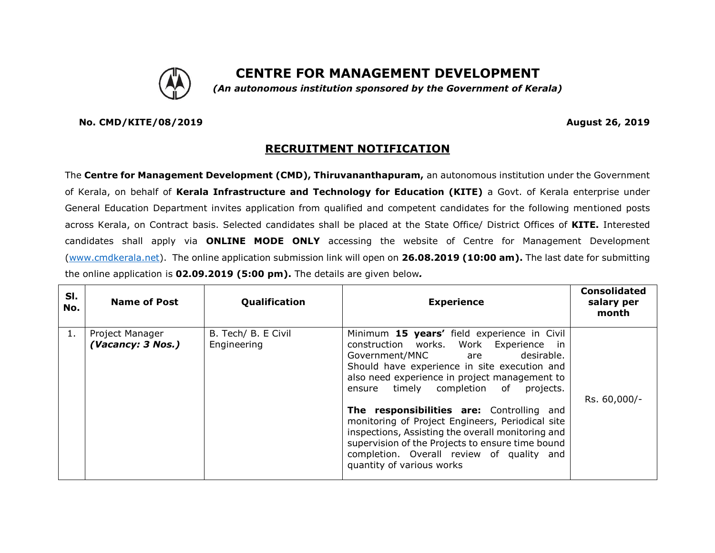

## **CENTRE FOR MANAGEMENT DEVELOPMENT**

*(An autonomous institution sponsored by the Government of Kerala)*

**No. CMD/KITE/08/2019 August 26, 2019**

## **RECRUITMENT NOTIFICATION**

The **Centre for Management Development (CMD), Thiruvananthapuram,** an autonomous institution under the Government of Kerala, on behalf of **Kerala Infrastructure and Technology for Education (KITE)** a Govt. of Kerala enterprise under General Education Department invites application from qualified and competent candidates for the following mentioned posts across Kerala, on Contract basis. Selected candidates shall be placed at the State Office/ District Offices of **KITE.** Interested candidates shall apply via **ONLINE MODE ONLY** accessing the website of Centre for Management Development [\(www.cmdkerala.net\)](http://www.cmdkerala.net/). The online application submission link will open on **26.08.2019 (10:00 am).** The last date for submitting the online application is **02.09.2019 (5:00 pm).** The details are given below*.*

| SI.<br>No. | <b>Name of Post</b>                  | Qualification                      | <b>Experience</b>                                                                                                                                                                                                                                                                                                                                                                                                                                                                                                                                             | <b>Consolidated</b><br>salary per<br>month |
|------------|--------------------------------------|------------------------------------|---------------------------------------------------------------------------------------------------------------------------------------------------------------------------------------------------------------------------------------------------------------------------------------------------------------------------------------------------------------------------------------------------------------------------------------------------------------------------------------------------------------------------------------------------------------|--------------------------------------------|
| 1.         | Project Manager<br>(Vacancy: 3 Nos.) | B. Tech/ B. E Civil<br>Engineering | Minimum 15 years' field experience in Civil<br>construction works. Work Experience in<br>desirable.<br>Government/MNC are<br>Should have experience in site execution and<br>also need experience in project management to<br>timely completion of<br>projects.<br>ensure<br>The responsibilities are: Controlling and<br>monitoring of Project Engineers, Periodical site<br>inspections, Assisting the overall monitoring and<br>supervision of the Projects to ensure time bound<br>completion. Overall review of quality and<br>quantity of various works | Rs. 60,000/-                               |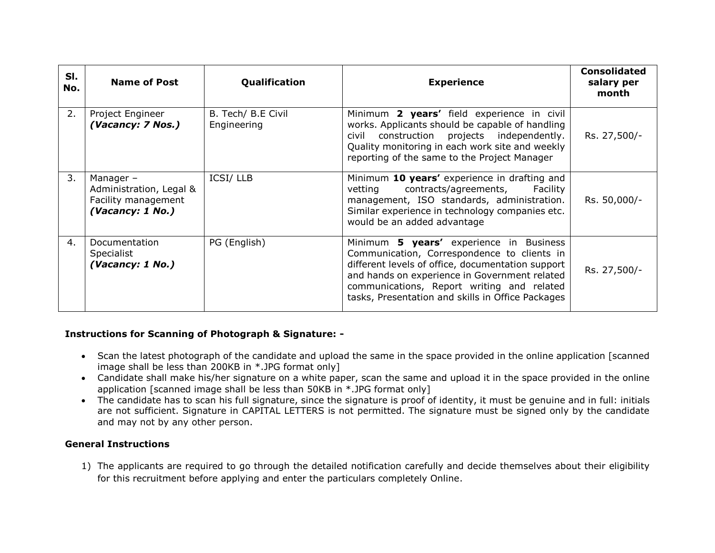| SI.<br>No. | <b>Name of Post</b>                                                             | Qualification                     | <b>Experience</b>                                                                                                                                                                                                                                                                               | <b>Consolidated</b><br>salary per<br>month |
|------------|---------------------------------------------------------------------------------|-----------------------------------|-------------------------------------------------------------------------------------------------------------------------------------------------------------------------------------------------------------------------------------------------------------------------------------------------|--------------------------------------------|
| 2.         | Project Engineer<br>(Vacancy: 7 Nos.)                                           | B. Tech/ B.E Civil<br>Engineering | Minimum 2 years' field experience in civil<br>works. Applicants should be capable of handling<br>civil construction projects independently.<br>Quality monitoring in each work site and weekly<br>reporting of the same to the Project Manager                                                  | Rs. 27,500/-                               |
| 3.         | Manager -<br>Administration, Legal &<br>Facility management<br>(Vacancy: 1 No.) | <b>ICSI/LLB</b>                   | Minimum 10 years' experience in drafting and<br>contracts/agreements, Facility<br>vetting<br>management, ISO standards, administration.<br>Similar experience in technology companies etc.<br>would be an added advantage                                                                       | Rs. 50,000/-                               |
| 4.         | Documentation<br><b>Specialist</b><br>(Vacancy: 1 No.)                          | PG (English)                      | Minimum 5 years' experience in Business<br>Communication, Correspondence to clients in<br>different levels of office, documentation support<br>and hands on experience in Government related<br>communications, Report writing and related<br>tasks, Presentation and skills in Office Packages | Rs. 27,500/-                               |

## **Instructions for Scanning of Photograph & Signature: -**

- Scan the latest photograph of the candidate and upload the same in the space provided in the online application [scanned image shall be less than 200KB in \*.JPG format only]
- Candidate shall make his/her signature on a white paper, scan the same and upload it in the space provided in the online application [scanned image shall be less than 50KB in \*.JPG format only]
- The candidate has to scan his full signature, since the signature is proof of identity, it must be genuine and in full: initials are not sufficient. Signature in CAPITAL LETTERS is not permitted. The signature must be signed only by the candidate and may not by any other person.

## **General Instructions**

1) The applicants are required to go through the detailed notification carefully and decide themselves about their eligibility for this recruitment before applying and enter the particulars completely Online.